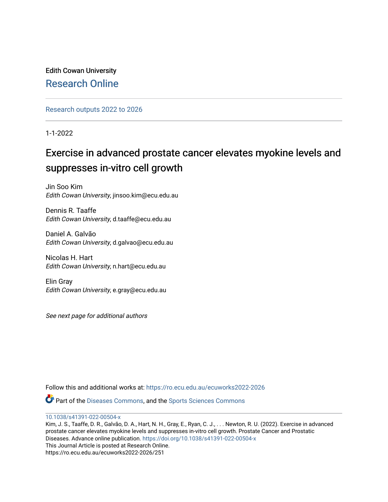Edith Cowan University [Research Online](https://ro.ecu.edu.au/) 

[Research outputs 2022 to 2026](https://ro.ecu.edu.au/ecuworks2022-2026) 

1-1-2022

# Exercise in advanced prostate cancer elevates myokine levels and suppresses in-vitro cell growth

Jin Soo Kim Edith Cowan University, jinsoo.kim@ecu.edu.au

Dennis R. Taaffe Edith Cowan University, d.taaffe@ecu.edu.au

Daniel A. Galvão Edith Cowan University, d.galvao@ecu.edu.au

Nicolas H. Hart Edith Cowan University, n.hart@ecu.edu.au

Elin Gray Edith Cowan University, e.gray@ecu.edu.au

See next page for additional authors

Follow this and additional works at: [https://ro.ecu.edu.au/ecuworks2022-2026](https://ro.ecu.edu.au/ecuworks2022-2026?utm_source=ro.ecu.edu.au%2Fecuworks2022-2026%2F251&utm_medium=PDF&utm_campaign=PDFCoverPages)

Part of the [Diseases Commons](https://network.bepress.com/hgg/discipline/813?utm_source=ro.ecu.edu.au%2Fecuworks2022-2026%2F251&utm_medium=PDF&utm_campaign=PDFCoverPages), and the [Sports Sciences Commons](https://network.bepress.com/hgg/discipline/759?utm_source=ro.ecu.edu.au%2Fecuworks2022-2026%2F251&utm_medium=PDF&utm_campaign=PDFCoverPages) 

[10.1038/s41391-022-00504-x](http://dx.doi.org/10.1038/s41391-022-00504-x) 

Kim, J. S., Taaffe, D. R., Galvão, D. A., Hart, N. H., Gray, E., Ryan, C. J., . . . Newton, R. U. (2022). Exercise in advanced prostate cancer elevates myokine levels and suppresses in-vitro cell growth. Prostate Cancer and Prostatic Diseases. Advance online publication. <https://doi.org/10.1038/s41391-022-00504-x> This Journal Article is posted at Research Online. https://ro.ecu.edu.au/ecuworks2022-2026/251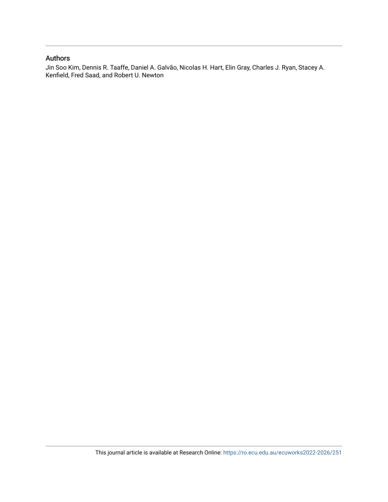# Authors

Jin Soo Kim, Dennis R. Taaffe, Daniel A. Galvão, Nicolas H. Hart, Elin Gray, Charles J. Ryan, Stacey A. Kenfield, Fred Saad, and Robert U. Newton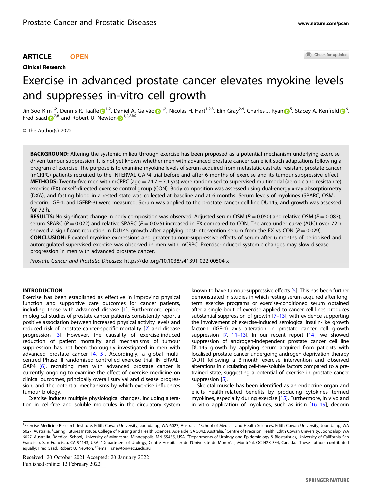# ARTICLE **OPEN**

## Clinical Research

Check for updates

# Exercise in advanced prostate cancer elevates myokine levels and suppresses in-vitro cell growth

Jin-Soo Kim<sup>1,2</sup>, D[e](http://orcid.org/0000-0001-6381-1597)nnis R. Taaffe <mark>(b</mark><sup>[1](http://orcid.org/0000-0002-8209-2281),2</sup>, Daniel A. Galvã[o](http://orcid.org/0000-0002-8209-2281) (b<sup>1,2</sup>, Nicolas H. Hart<sup>1,2,3</sup>, Elin Gray<sup>2,4</sup>, Charles J. Ryan (b<sup>[5](http://orcid.org/0000-0002-2081-3557)</sup>, Stacey A. Kenfiel[d](http://orcid.org/0000-0002-1585-7352) (b<sup>[6](http://orcid.org/0000-0002-1585-7352)</sup>, Fred Saad  $\mathbf{D}^{7,8}$  $\mathbf{D}^{7,8}$  $\mathbf{D}^{7,8}$  a[n](http://orcid.org/0000-0003-0302-6129)d Robert U. Newton  $\mathbf{D}^{1,2,8}$  $\mathbf{D}^{1,2,8}$  $\mathbf{D}^{1,2,8}$ 

© The Author(s) 2022

BACKGROUND: Altering the systemic milieu through exercise has been proposed as a potential mechanism underlying exercisedriven tumour suppression. It is not yet known whether men with advanced prostate cancer can elicit such adaptations following a program of exercise. The purpose is to examine myokine levels of serum acquired from metastatic castrate-resistant prostate cancer (mCRPC) patients recruited to the INTERVAL-GAP4 trial before and after 6 months of exercise and its tumour-suppressive effect. **METHODS:** Twenty-five men with mCRPC (age = 74.7  $\pm$  7.1 yrs) were randomised to supervised multimodal (aerobic and resistance) exercise (EX) or self-directed exercise control group (CON). Body composition was assessed using dual-energy x-ray absorptiometry (DXA), and fasting blood in a rested state was collected at baseline and at 6 months. Serum levels of myokines (SPARC, OSM, decorin, IGF-1, and IGFBP-3) were measured. Serum was applied to the prostate cancer cell line DU145, and growth was assessed for 72 h.

RESULTS: No significant change in body composition was observed. Adjusted serum OSM ( $P = 0.050$ ) and relative OSM ( $P = 0.083$ ), serum SPARC ( $P = 0.022$ ) and relative SPARC ( $P = 0.025$ ) increased in EX compared to CON. The area under curve (AUC) over 72 h showed a significant reduction in DU145 growth after applying post-intervention serum from the EX vs CON ( $P = 0.029$ ). CONCLUSION: Elevated myokine expressions and greater tumour-suppressive effects of serum after 6 months of periodised and autoregulated supervised exercise was observed in men with mCRPC. Exercise-induced systemic changes may slow disease progression in men with advanced prostate cancer.

Prostate Cancer and Prostatic Diseases;<https://doi.org/10.1038/s41391-022-00504-x>

#### INTRODUCTION

Exercise has been established as effective in improving physical function and supportive care outcomes for cancer patients, including those with advanced disease [\[1](#page-7-0)]. Furthermore, epidemiological studies of prostate cancer patients consistently report a positive association between increased physical activity levels and reduced risk of prostate cancer-specific mortality [[2](#page-7-0)] and disease progression [[3](#page-7-0)]. However, the causality of exercise-induced reduction of patient mortality and mechanisms of tumour suppression has not been thoroughly investigated in men with advanced prostate cancer [\[4,](#page-7-0) [5\]](#page-7-0). Accordingly, a global multicentred Phase III randomised controlled exercise trial, INTERVAL-GAP4 [\[6\]](#page-7-0), recruiting men with advanced prostate cancer is currently ongoing to examine the effect of exercise medicine on clinical outcomes, principally overall survival and disease progression, and the potential mechanisms by which exercise influences tumour biology.

Exercise induces multiple physiological changes, including alteration in cell-free and soluble molecules in the circulatory system known to have tumour-suppressive effects [[5](#page-7-0)]. This has been further demonstrated in studies in which resting serum acquired after longterm exercise programs or exercise-conditioned serum obtained after a single bout of exercise applied to cancer cell lines produces substantial suppression of growth  $[7-13]$  $[7-13]$  $[7-13]$ , with evidence supporting the involvement of exercise-induced serological insulin-like growth factor-1 (IGF-1) axis alteration in prostate cancer cell growth suppression [\[7,](#page-7-0) [11](#page-7-0)–[13](#page-7-0)]. In our recent report [\[14](#page-7-0)], we showed suppression of androgen-independent prostate cancer cell line DU145 growth by applying serum acquired from patients with localised prostate cancer undergoing androgen deprivation therapy (ADT) following a 3-month exercise intervention and observed alterations in circulating cell-free/soluble factors compared to a pretrained state, suggesting a potential of exercise in prostate cancer suppression [[5](#page-7-0)].

Skeletal muscle has been identified as an endocrine organ and elicits health-related benefits by producing cytokines termed myokines, especially during exercise [[15](#page-7-0)]. Furthermore, in vivo and in vitro application of myokines, such as irisin [\[16](#page-7-0)–[19](#page-7-0)], decorin

Received: 20 October 2021 Accepted: 20 January 2022 Published online: 12 February 2022

<sup>&</sup>lt;sup>1</sup> Exercise Medicine Research Institute, Edith Cowan University, Joondalup, WA 6027, Australia. <sup>2</sup> School of Medical and Health Sciences, Edith Cowan University, Joondalup, WA 6027, Australia. <sup>3</sup>Caring Futures Institute, College of Nursing and Health Sciences, Adelaide, SA 5042, Australia. <sup>4</sup>Centre of Precision Health, Edith Cowan University, Joondalup, WA 6027, Australia. <sup>5</sup>Medical School, University of Minnesota, Minneapolis, MN 55455, USA. <sup>6</sup>Departments of Urology and Epidemiology & Biostatistics, University of California San Francisco, San Francisco, CA 94143, USA. <sup>7</sup>Department of Urology, Centre Hospitalier de l'Université de Montréal, Montréal, QC H2X 3E4, Canada. <sup>8</sup>These authors contributed equally: Fred Saad, Robert U. Newton. <sup>⊠</sup>email: [r.newton@ecu.edu.au](mailto:r.newton@ecu.edu.au)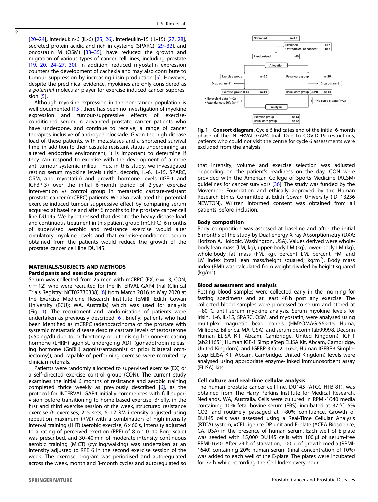<span id="page-3-0"></span>[[20](#page-7-0)–[24\]](#page-7-0), interleukin-6 (IL-6) [\[25](#page-7-0), [26](#page-7-0)], interleukin-15 (IL-15) [\[27](#page-7-0), [28](#page-7-0)], secreted protein acidic and rich in cysteine (SPARC) [[29](#page-7-0)–[32\]](#page-7-0), and oncostatin M (OSM) [[33](#page-7-0)–[35](#page-7-0)], have reduced the growth and migration of various types of cancer cell lines, including prostate [[19,](#page-7-0) [20,](#page-7-0) [24](#page-7-0)–[27,](#page-7-0) [30\]](#page-7-0). In addition, reduced myostatin expression counters the development of cachexia and may also contribute to tumour suppression by increasing irisin production [\[5\]](#page-7-0). However, despite the preclinical evidence, myokines are only considered as <sup>a</sup> potential molecular player for exercise-induced cancer suppression [\[5\]](#page-7-0).

Although myokine expression in the non-cancer population is well documented [\[15\]](#page-7-0), there has been no investigation of myokine expression and tumour-suppressive effects of exerciseconditioned serum in advanced prostate cancer patients who have undergone, and continue to receive, a range of cancer therapies inclusive of androgen blockade. Given the high disease load of these patients, with metastases and a shortened survival time, in addition to their castrate-resistant status underpinning an altered endocrine environment, it is important to determine if they can respond to exercise with the development of a more anti-tumour systemic milieu. Thus, in this study, we investigated resting serum myokine levels (irisin, decorin, IL-6, IL-15, SPARC, OSM, and myostatin) and growth hormone levels (IGF-1 and IGFBP-3) over the initial 6-month period of 2-year exercise intervention vs control group in metastatic castrate-resistant prostate cancer (mCRPC) patients. We also evaluated the potential exercise-induced tumour-suppressive effect by comparing serum acquired at baseline and after 6 months to the prostate cancer cell line DU145. We hypothesised that despite the heavy disease load and continuous treatment in this patient group (mCRPC), 6 months of supervised aerobic and resistance exercise would alter circulatory myokine levels and that exercise-conditioned serum obtained from the patients would reduce the growth of the prostate cancer cell line DU145.

# MATERIALS/SUBJECTS AND METHODS

# Participants and exercise program

Serum was collected from 25 men with mCRPC (EX,  $n = 13$ ; CON,  $n = 12$ ) who were recruited for the INTERVAL-GAP4 trial (Clinical Trials Registry: NCT02730338) [[6](#page-7-0)] from March 2016 to May 2020 at the Exercise Medicine Research Institute (EMRI; Edith Cowan University (ECU); WA, Australia) which was used for analysis (Fig. 1). The recruitment and randomisation of patients were undertaken as previously described [\[6\]](#page-7-0). Briefly, patients who had been identified as mCRPC (adenocarcinoma of the prostate with systemic metastatic disease despite castrate levels of testosterone (<50 ng/dl) due to orchiectomy or luteinising hormone-releasing hormone (LHRH) agonist, undergoing ADT (gonadotropin-releasing hormone (GnRH) agonist/antagonist or prior bilateral orchiectomy)), and capable of performing exercise were recruited by clinician referrals.

Patients were randomly allocated to supervised exercise (EX) or a self-directed exercise control group (CON). The current study examines the initial 6 months of resistance and aerobic training completed thrice weekly as previously described [[6](#page-7-0)], as the protocol for INTERVAL GAP4 initially commences with full supervision before transitioning to home-based exercise. Briefly, in the first and third exercise session of the week, structured resistance exercise (6 exercises, 2–5 sets, 6–12 RM intensity adjusted using repetition maximum (RM)) with a combination of high-intensity interval training (HIIT) (aerobic exercise, 6 x 60 s, intensity adjusted to a rating of perceived exertion (RPE) of 8 on 0–10 Borg scale) was prescribed, and 30–40 min of moderate-intensity continuous aerobic training (MICT) (cycling/walking) was undertaken at an intensity adjusted to RPE 6 in the second exercise session of the week. The exercise program was periodised and autoregulated across the week, month and 3-month cycles and autoregulated so



Fig. 1 Consort diagram. Cycle 6 indicates end of the initial 6-month phase of the INTERVAL GAP4 trial. Due to COVID-19 restrictions, patients who could not visit the centre for cycle 6 assessments were excluded from the analysis.

that intensity, volume and exercise selection was adjusted depending on the patient's readiness on the day. CON were provided with the American College of Sports Medicine (ACSM) guidelines for cancer survivors [[36\]](#page-8-0). The study was funded by the Movember Foundation and ethically approved by the Human Research Ethics Committee at Edith Cowan University (ID: 13236 NEWTON). Written informed consent was obtained from all patients before inclusion.

#### Body composition

Body composition was assessed at baseline and after the initial 6 months of the study by Dual-energy X-ray Absorptiometry (DXA; Horizon A, Hologic, Washington, USA). Values derived were wholebody lean mass (LM, kg), upper-body LM (kg), lower-body LM (kg), whole-body fat mass (FM, kg), percent LM, percent FM, and LM index (total lean mass/height squared; kg/m<sup>2</sup>). Body mass index (BMI) was calculated from weight divided by height squared  $(kg/m^2)$ .

#### Blood assessment and analysis

Resting blood samples were collected early in the morning for fasting specimens and at least 48 h post any exercise. The collected blood samples were processed to serum and stored at −80 °C until serum myokine analysis. Serum myokine levels for irisin, IL-6, IL-15, SPARC, OSM, and myostatin, were analysed using multiplex magnetic bead panels (HMYOMAG-56k-15 Huma, Millipore, Billerica, MA, USA), and serum decorin (ab99998, Decorin Human ELISA Kit, Abcam, Cambridge, United Kingdom), IGF-1 (ab211651, Human IGF-1 SimpleStep ELISA Kit, Abcam, Cambridge, United Kingdom), and IGFBP-3 (ab211652, Human IGFBP3 Simple-Step ELISA Kit, Abcam, Cambridge, United Kingdom) levels were analysed using appropriate enzyme-linked immunosorbent assay (ELISA) kits.

#### Cell culture and real-time cellular analysis

The human prostate cancer cell line, DU145 (ATCC HTB-81), was obtained from The Harry Perkins Institute for Medical Research, Nedlands, WA, Australia. Cells were cultured in RPMI-1640 media containing 10% fetal bovine serum (FBS), incubated at 37 °C, 5% CO2, and routinely passaged at ~80% confluence. Growth of DU145 cells was assessed using a Real-Time Cellular Analysis (RTCA) system, xCELLigence DP unit and E-plate (ACEA Bioscience, CA, USA) in the presence of human serum. Each well of E-plate was seeded with 15,000 DU145 cells with 100 µl of serum-free RPMI-1640. After 24 h of starvation, 100 µl of growth media (RPMI-1640) containing 20% human serum (final concentration of 10%) was added to each well of the E-plate. The plates were incubated for 72 h while recording the Cell Index every hour.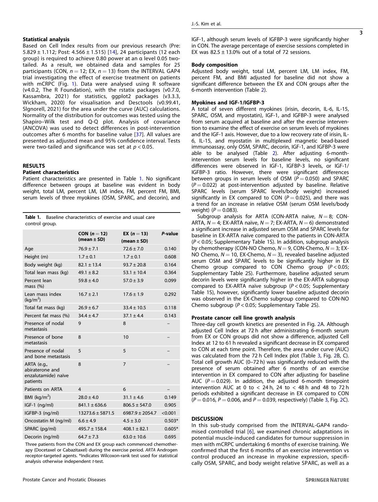Based on Cell Index results from our previous research (Pre: 5.829  $\pm$  1.112; Post: 4.566  $\pm$  1.515) [\[14\]](#page-7-0), 24 participants (12 each group) is required to achieve 0.80 power at an α level 0.05 twotailed. As a result, we obtained data and samples for 25 participants (CON,  $n = 12$ ; EX,  $n = 13$ ) from the INTERVAL GAP4 trial investigating the effect of exercise treatment on patients with mCRPC (Fig. [1\)](#page-3-0). Data were analysed using R software (v4.0.2, The R Foundation), with the rstatix packages (v0.7.0, Kassambra, 2021) for statistics, ggplot2 packages (v3.3.3, Wickham, 2020) for visualisation and Desctools (v0.99.41, Slgnorell, 2021) for the area under the curve (AUC) calculations. Normality of the distribution for outcomes was tested using the Shapiro–Wilk test and Q-Q plot. Analysis of covariance (ANCOVA) was used to detect differences in post-intervention outcomes after 6 months for baseline value [\[37\]](#page-8-0). All values are presented as adjusted mean and 95% confidence interval. Tests were two-tailed and significance was set at  $p < 0.05$ .

# RESULTS

#### Patient characteristics

Patient characteristics are presented in Table 1. No significant difference between groups at baseline was evident in body weight, total LM, percent LM, LM index, FM, percent FM, BMI, serum levels of three myokines (OSM, SPARC, and decorin), and

|                | <b>Table 1.</b> Baseline characteristics of exercise and usual care |  |  |  |
|----------------|---------------------------------------------------------------------|--|--|--|
| control group. |                                                                     |  |  |  |

|                                                                   | CON $(n=12)$<br>(mean $\pm$ SD) | <b>EX</b> ( $n = 13$ )<br>(mean $\pm$ SD) | P-value  |
|-------------------------------------------------------------------|---------------------------------|-------------------------------------------|----------|
| Age                                                               | $76.9 \pm 7.1$                  | $72.6 \pm 7.0$                            | 0.140    |
| Height (m)                                                        | $1.7 \pm 0.1$                   | $1.7 \pm 0.1$                             | 0.608    |
| Body weight (kg)                                                  | $82.1 \pm 13.4$                 | $93.7 \pm 20.8$                           | 0.164    |
| Total lean mass (kg)                                              | $49.1 \pm 8.2$                  | $53.1 \pm 10.4$                           | 0.364    |
| Percent lean<br>mass (%)                                          | $59.8 \pm 4.0$                  | $57.0 \pm 3.9$                            | 0.099    |
| Lean mass index<br>(kq/m <sup>2</sup> )                           | $16.7 \pm 2.1$                  | $17.6 \pm 1.9$                            | 0.292    |
| Total fat mass (kg)                                               | $26.9 \pm 6.7$                  | $33.4 \pm 10.5$                           | 0.118    |
| Percent fat mass (%)                                              | $34.4 \pm 4.7$                  | $37.1 \pm 4.4$                            | 0.143    |
| Presence of nodal<br>metastasis                                   | 9                               | 8                                         |          |
| Presence of bone<br>metastasis                                    | 8                               | 10                                        |          |
| Presence of nodal<br>and bone metastasis                          | 5                               | 5                                         |          |
| ARTA (e.g.,<br>abiraterone and<br>enzalutamide) naïve<br>patients | 8                               | $\overline{7}$                            |          |
| Patients on ARTA                                                  | 4                               | 6                                         |          |
| BMI ( $kg/m2$ )                                                   | $28.0 \pm 4.0$                  | $31.1 \pm 4.6$                            | 0.149    |
| $IGF-1$ (ng/ml)                                                   | $841.1 \pm 636.6$               | $806.5 \pm 547.0$                         | 0.905    |
| IGFBP-3 (ng/ml)                                                   | $13273.6 \pm 5871.5$            | $6987.9 \pm 2054.7$                       | < 0.001  |
| Oncostatin M (ng/ml)                                              | $6.6 \pm 4.9$                   | $4.5 \pm 3.0$                             | $0.503*$ |
| SPARC (pg/ml)                                                     | $495.7 \pm 158.4$               | $408.1 \pm 82.1$                          | $0.605*$ |
| Decorin (ng/ml)                                                   | $64.7 \pm 7.3$                  | $63.0 \pm 10.6$                           | 0.695    |

Three patients from the CON and EX group each commenced chemotherapy (Docetaxel or Cabazitaxel) during the exercise period. ARTA Androgen receptor-targeted agents. \*Indicates Wilcoxon-rank test used for statistical analysis otherwise independent t-test.

IGF-1, although serum levels of IGFBP-3 were significantly higher in CON. The average percentage of exercise sessions completed in EX was  $82.5 \pm 13.0\%$  out of a total of 72 sessions.

#### Body composition

Adjusted body weight, total LM, percent LM, LM index, FM, percent FM, and BMI adjusted for baseline did not show a significant difference between the EX and CON groups after the 6-month intervention (Table [2](#page-5-0)).

#### Myokines and IGF-1/IGFBP-3

A total of seven different myokines (irisin, decorin, IL-6, IL-15, SPARC, OSM, and myostatin), IGF-1, and IGFBP-3 were analysed from serum acquired at baseline and after the exercise intervention to examine the effect of exercise on serum levels of myokines and the IGF-1 axis. However, due to a low recovery rate of irisin, IL-6, IL-15, and myostatin in multiplexed magnetic bead-based immunoassay, only OSM, SPARC, decorin, IGF-1, and IGFBP-3 were able to be analysed (Table [2](#page-5-0)). After adjusting 6-monthintervention serum levels for baseline levels, no significant differences were observed in IGF-1, IGFBP-3 levels, or IGF-1/ IGFBP-3 ratio. However, there were significant differences between groups in serum levels of OSM ( $P = 0.050$ ) and SPARC  $(P = 0.022)$  at post-intervention adjusted by baseline. Relative SPARC levels (serum SPARC levels/body weight) increased significantly in EX compared to CON ( $P = 0.025$ ), and there was a trend for an increase in relative OSM (serum OSM levels/body weight)  $(P = 0.083)$ .

Subgroup analysis for ARTA (CON-ARTA naïve,  $N = 8$ ; CON-ARTA,  $N = 4$ ; EX-ARTA naïve,  $N = 7$ ; EX-ARTA,  $N = 6$ ) demonstrated a significant increase in adjusted serum OSM and SPARC levels for baseline in EX-ARTA naïve compared to the patients in CON-ARTA (P < 0.05; Supplementary Table 1S). In addition, subgroup analysis by chemotherapy (CON-NO Chemo,  $N = 9$ , CON-Chemo,  $N = 3$ ; EX-NO Chemo,  $N = 10$ , EX-Chemo,  $N = 3$ ), revealed baseline adjusted serum OSM and SPARC levels to be significantly higher in EX Chemo group compared to CON Chemo group  $(P < 0.05)$ ; Supplementary Table 2S). Furthermore, baseline adjusted serum decorin levels were significantly higher in the EX-ARTA subgroup compared to EX-ARTA naïve subgroup ( $P < 0.05$ ; Supplementary Table 1S), however, significantly lower baseline adjusted decorin was observed in the EX-Chemo subgroup compared to CON-NO Chemo subgroup ( $P < 0.05$ ; Supplementary Table 2S).

#### Prostate cancer cell line growth analysis

Three-day cell growth kinetics are presented in Fig. [2A](#page-5-0). Although adjusted Cell Index at 72 h after administrating 6-month serum from EX or CON groups did not show a difference, adjusted Cell Index at 12 to 61 h revealed a significant decrease in EX compared to CON at each time point. Therefore, the area under curve (AUC) was calculated from the 72 h Cell Index plot (Table [3](#page-6-0), Fig. [2B](#page-5-0), C). Total cell growth AUC (0–72 h) was significantly reduced with the presence of serum obtained after 6 months of an exercise intervention in EX compared to CON after adjusting for baseline AUC ( $P = 0.029$ ). In addition, the adjusted 6-month timepoint intervention AUC at 0 to  $<$  24 h, 24 to  $<$  48 h and 48 to 72 h periods exhibited a significant decrease in EX compared to CON  $(P = 0.016, P = 0.006,$  and  $P = 0.039$ , respectively) (Table [3,](#page-6-0) Fig. [2C](#page-5-0)).

#### **DISCUSSION**

In this sub-study comprised from the INTERVAL-GAP4 randomised controlled trial [[6](#page-7-0)], we examined chronic adaptations in potential muscle-induced candidates for tumour suppression in men with mCRPC undertaking 6 months of exercise training. We confirmed that the first 6 months of an exercise intervention vs control produced an increase in myokine expression, specifically OSM, SPARC, and body weight relative SPARC, as well as a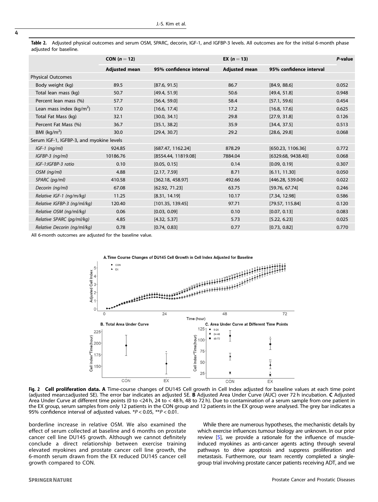<span id="page-5-0"></span>Table 2. Adjusted physical outcomes and serum OSM, SPARC, decorin, IGF-1, and IGFBP-3 levels. All outcomes are for the initial 6-month phase adjusted for baseline.

|                                          | CON $(n=12)$         |                         | <b>EX</b> $(n = 13)$ |                         | P-value |
|------------------------------------------|----------------------|-------------------------|----------------------|-------------------------|---------|
|                                          | <b>Adjusted mean</b> | 95% confidence interval | <b>Adjusted mean</b> | 95% confidence interval |         |
| <b>Physical Outcomes</b>                 |                      |                         |                      |                         |         |
| Body weight (kg)                         | 89.5                 | [87.6, 91.5]            | 86.7                 | [84.9, 88.6]            | 0.052   |
| Total lean mass (kg)                     | 50.7                 | [49.4, 51.9]            | 50.6                 | [49.4, 51.8]            | 0.948   |
| Percent lean mass (%)                    | 57.7                 | [56.4, 59.0]            | 58.4                 | [57.1, 59.6]            | 0.454   |
| Lean mass index ( $kg/m2$ )              | 17.0                 | [16.6, 17.4]            | 17.2                 | [16.8, 17.6]            | 0.625   |
| Total Fat Mass (kg)                      | 32.1                 | [30.0, 34.1]            | 29.8                 | [27.9, 31.8]            | 0.126   |
| Percent Fat Mass (%)                     | 36.7                 | [35.1, 38.2]            | 35.9                 | [34.4, 37.5]            | 0.513   |
| BMI $(kq/m^2)$                           | 30.0                 | [29.4, 30.7]            | 29.2                 | [28.6, 29.8]            | 0.068   |
| Serum IGF-1, IGFBP-3, and myokine levels |                      |                         |                      |                         |         |
| $IGF-1$ ( $ng/ml$ )                      | 924.85               | [687.47, 1162.24]       | 878.29               | [650.23, 1106.36]       | 0.772   |
| $IGFBP-3$ ( $nq/ml$ )                    | 10186.76             | [8554.44, 11819.08]     | 7884.04              | [6329.68, 9438.40]      | 0.068   |
| IGF-1:IGFBP-3 ratio                      | 0.10                 | [0.05, 0.15]            | 0.14                 | [0.09, 0.19]            | 0.307   |
| OSM (ng/ml)                              | 4.88                 | [2.17, 7.59]            | 8.71                 | [6.11, 11.30]           | 0.050   |
| SPARC (pg/ml)                            | 410.58               | [362.18, 458.97]        | 492.66               | [446.28, 539.04]        | 0.022   |
| Decorin (ng/ml)                          | 67.08                | [62.92, 71.23]          | 63.75                | [59.76, 67.74]          | 0.246   |
| Relative IGF-1 (ng/m/kg)                 | 11.25                | [8.31, 14.19]           | 10.17                | [7.34, 12.98]           | 0.586   |
| Relative IGFBP-3 (ng/ml/kg)              | 120.40               | [101.35, 139.45]        | 97.71                | [79.57, 115.84]         | 0.120   |
| Relative OSM (ng/ml/kg)                  | 0.06                 | [0.03, 0.09]            | 0.10                 | [0.07, 0.13]            | 0.083   |
| Relative SPARC (pg/ml/kg)                | 4.85                 | [4.32, 5.37]            | 5.73                 | [5.22, 6.23]            | 0.025   |
| Relative Decorin (ng/ml/kg)              | 0.78                 | [0.74, 0.83]            | 0.77                 | [0.73, 0.82]            | 0.770   |
|                                          |                      |                         |                      |                         |         |

All 6-month outcomes are adjusted for the baseline value.



Fig. 2 Cell proliferation data. A Time-course changes of DU145 Cell growth in Cell Index adjusted for baseline values at each time point (adjusted mean±adjusted SE). The error bar indicates an adjusted SE. B Adjusted Area Under Curve (AUC) over 72 h incubation. C Adjusted Area Under Curve at different time points (0 to <24 h, 24 to < 48 h, 48 to 72 h). Due to contamination of a serum sample from one patient in the EX group, serum samples from only 12 patients in the CON group and 12 patients in the EX group were analysed. The grey bar indicates a 95% confidence interval of adjusted values. \*P < 0.05, \*\*P < 0.01.

borderline increase in relative OSM. We also examined the effect of serum collected at baseline and 6 months on prostate cancer cell line DU145 growth. Although we cannot definitely conclude a direct relationship between exercise training elevated myokines and prostate cancer cell line growth, the 6-month serum drawn from the EX reduced DU145 cancer cell growth compared to CON.

While there are numerous hypotheses, the mechanistic details by which exercise influences tumour biology are unknown. In our prior review [[5](#page-7-0)], we provide a rationale for the influence of muscleinduced myokines as anti-cancer agents acting through several pathways to drive apoptosis and suppress proliferation and metastasis. Furthermore, our team recently completed a singlegroup trial involving prostate cancer patients receiving ADT, and we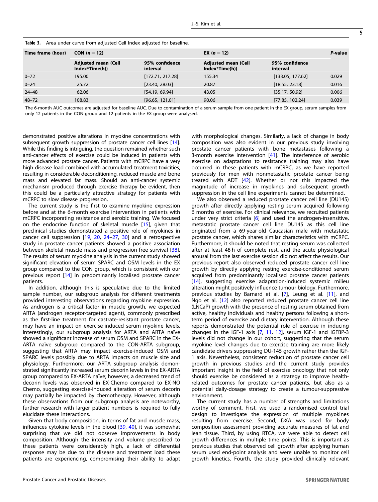| <b>TWIC 31</b> TWEE BING COLVE HOTH adjusted Centrical adjusted for basemer.                                                                             |         |  |  |  |  |  |  |  |  |
|----------------------------------------------------------------------------------------------------------------------------------------------------------|---------|--|--|--|--|--|--|--|--|
| Time frame (hour)<br>CON $(n=12)$<br><b>EX</b> ( $n = 12$ )                                                                                              | P-value |  |  |  |  |  |  |  |  |
| 95% confidence<br>95% confidence<br><b>Adjusted mean (Cell</b><br><b>Adjusted mean (Cell</b><br>Index*Time(h))<br>Index*Time(h))<br>interval<br>interval |         |  |  |  |  |  |  |  |  |
| [172.71, 217.28]<br>[133.05, 177.62]<br>$0 - 72$<br>155.34<br>195.00                                                                                     | 0.029   |  |  |  |  |  |  |  |  |
| $0 - 24$<br>[23.40, 28.03]<br>[18.55, 23.18]<br>25.72<br>20.87                                                                                           | 0.016   |  |  |  |  |  |  |  |  |
| [54.19, 69.94]<br>[35.17, 50.92]<br>$24 - 48$<br>62.06<br>43.05                                                                                          | 0.006   |  |  |  |  |  |  |  |  |
| $48 - 72$<br>[96.65, 121.01]<br>[77.85, 102.24]<br>108.83<br>90.06                                                                                       | 0.039   |  |  |  |  |  |  |  |  |

<span id="page-6-0"></span>Table 3. Area under curve from adjusted Cell Index adjusted for baseline

The 6-month AUC outcomes are adjusted for baseline AUC. Due to contamination of a serum sample from one patient in the EX group, serum samples from only 12 patients in the CON group and 12 patients in the EX group were analysed.

demonstrated positive alterations in myokine concentrations with subsequent growth suppression of prostate cancer cell lines [[14\]](#page-7-0). While this finding is intriguing, the question remained whether such anti-cancer effects of exercise could be induced in patients with more advanced prostate cancer. Patients with mCRPC have a very high disease load combined with accumulated treatment toxicities, resulting in considerable deconditioning, reduced muscle and bone mass and elevated fat mass. Should an anti-cancer systemic mechanism produced through exercise therapy be evident, then this could be a particularly attractive strategy for patients with mCRPC to slow disease progression.

The current study is the first to examine myokine expression before and at the 6-month exercise intervention in patients with mCRPC incorporating resistance and aerobic training. We focused on the endocrine function of skeletal muscle [\[15](#page-7-0)], given that preclinical studies demonstrated a positive role of myokines in cancer cell suppression [\[19](#page-7-0), [20](#page-7-0), [24](#page-7-0)–[27](#page-7-0), [30](#page-7-0)] and a retrospective study in prostate cancer patients showed a positive association between skeletal muscle mass and progression-free survival [\[38\]](#page-8-0). The results of serum myokine analysis in the current study showed significant elevation of serum SPARC and OSM levels in the EX group compared to the CON group, which is consistent with our previous report [[14\]](#page-7-0) in predominantly localised prostate cancer patients.

In addition, although this is speculative due to the limited sample number, our subgroup analysis for different treatments provided interesting observations regarding myokine expression. As androgen is a critical factor in muscle growth, we expected ARTA (androgen receptor-targeted agent), commonly prescribed as the first-line treatment for castrate-resistant prostate cancer, may have an impact on exercise-induced serum myokine levels. Interestingly, our subgroup analysis for ARTA and ARTA naïve showed a significant increase of serum OSM and SPARC in the EX-ARTA naïve subgroup compared to the CON-ARTA subgroup, suggesting that ARTA may impact exercise-induced OSM and SPARC levels possibly due to ARTA impacts on muscle size and physiology. Furthermore, our ARTA subgroup analysis demonstrated significantly increased serum decorin levels in the EX-ARTA group compared to EX-ARTA naïve; however, a decreased trend of decorin levels was observed in EX-Chemo compared to EX-NO Chemo, suggesting exercise-induced alteration of serum decorin may partially be impacted by chemotherapy. However, although these observations from our subgroup analysis are noteworthy, further research with larger patient numbers is required to fully elucidate these interactions.

Given that body composition, in terms of fat and muscle mass, influences cytokine levels in the blood [[39,](#page-8-0) [40\]](#page-8-0), it was somewhat surprising that we did not observe improvements in body composition. Although the intensity and volume prescribed to these patients were considerably high, a lack of differential response may be due to the disease and treatment load these patients are experiencing, compromising their ability to adapt with morphological changes. Similarly, a lack of change in body composition was also evident in our previous study involving prostate cancer patients with bone metastases following a 3-month exercise intervention [\[41](#page-8-0)]. The interference of aerobic exercise on adaptations to resistance training may also have occurred in these patients with mCRPC, as we have reported previously for men with nonmetastatic prostate cancer being treated with ADT [\[42](#page-8-0)]. Whether or not this impacted the magnitude of increase in myokines and subsequent growth suppression in the cell line experiments cannot be determined.

We also observed a reduced prostate cancer cell line (DU145) growth after directly applying resting serum acquired following 6 months of exercise. For clinical relevance, we recruited patients under very strict criteria [\[6\]](#page-7-0) and used the androgen-insensitive, metastatic prostate cancer cell line DU145 as this cell line originated from a 69-year-old Caucasian male with metastatic prostate cancer, which shares similar characteristics with mCRPC. Furthermore, it should be noted that resting serum was collected after at least 48 h of complete rest, and the acute physiological arousal from the last exercise session did not affect the results. Our previous report also observed reduced prostate cancer cell line growth by directly applying resting exercise-conditioned serum acquired from predominantly localised prostate cancer patients [\[14\]](#page-7-0), suggesting exercise adaptation-induced systemic milieu alteration might positively influence tumour biology. Furthermore, previous studies by Barnard et al. [[7](#page-7-0)], Leung et al. [\[11](#page-7-0)], and Ngo et al. [\[12\]](#page-7-0) also reported reduced prostate cancer cell line (LNCaP) growth with the presence of resting serum obtained from active, healthy individuals and healthy persons following a shortterm period of exercise and dietary intervention. Although these reports demonstrated the potential role of exercise in inducing changes in the IGF-1 axis [[7](#page-7-0), [11](#page-7-0), [12](#page-7-0)], serum IGF-1 and IGFBP-3 levels did not change in our cohort, suggesting that the serum myokine level changes due to exercise training are more likely candidate drivers suppressing DU-145 growth rather than the IGF-1 axis. Nevertheless, consistent reduction of prostate cancer cell growth in previous studies and the current study provides important insight in the field of exercise oncology that not only should exercise be considered as a strategy to improve healthrelated outcomes for prostate cancer patients, but also as a potential daily-dosage strategy to create a tumour-suppressive environment.

The current study has a number of strengths and limitations worthy of comment. First, we used a randomised control trial design to investigate the expression of multiple myokines resulting from exercise. Second, DXA was used for body composition assessment providing accurate measures of fat and lean tissue. Third, by using RTCA, we were able to detect cell growth differences in multiple time points. This is important as previous studies that observed cell growth after applying human serum used end-point analysis and were unable to monitor cell growth kinetics. Fourth, the study provided clinically relevant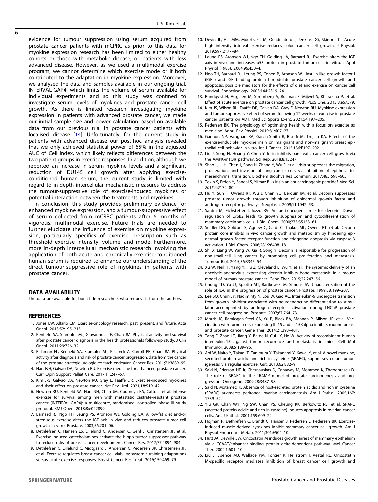<span id="page-7-0"></span>evidence for tumour suppression using serum acquired from prostate cancer patients with mCPRC as prior to this data for myokine expression research has been limited to either healthy cohorts or those with metabolic disease, or patients with less advanced disease. However, as we used a multimodal exercise program, we cannot determine which exercise mode or if both contributed to the adaptation in myokine expression. Moreover, we analysed the data and samples available in our ongoing trial, INTERVAL-GAP4, which limits the volume of serum available for individual experiments and so this study was confined to investigate serum levels of myokines and prostate cancer cell growth. As there is limited research investigating myokine expression in patients with advanced prostate cancer, we made our initial sample size and power calculation based on available data from our previous trial in prostate cancer patients with localised disease [14]. Unfortunately, for the current study in patients with advanced disease our post-hoc analysis revealed that we only achieved statistical power of 65% in the adjusted AUC of Cell index, which likely reflects differences between the two patient groups in exercise responses. In addition, although we reported an increase in serum myokine levels and a significant reduction of DU145 cell growth after applying exerciseconditioned human serum, the current study is limited with regard to in-depth intercellular mechanistic measures to address the tumour-suppressive role of exercise-induced myokines or potential interaction between the treatments and myokines.

In conclusion, this study provides preliminary evidence for enhanced myokine expression, and a tumour-suppressive effect of serum collected from mCRPC patients after 6 months of vigorous, multimodal exercise. Future trials are needed to further elucidate the influence of exercise on myokine expression, particularly specifics of exercise prescription such as threshold exercise intensity, volume, and mode. Furthermore, more in-depth intercellular mechanistic research involving the application of both acute and chronically exercise-conditioned human serum is required to enhance our understanding of the direct tumour-suppressive role of myokines in patients with prostate cancer.

#### DATA AVAILABILITY

The data are available for bona fide researchers who request it from the authors.

#### REFERENCES

- 1. Jones LW, Alfano CM. Exercise-oncology research: past, present, and future. Acta Oncol. 2013;52:195–215.
- 2. Kenfield SA, Stampfer MJ, Giovannucci E, Chan JM. Physical activity and survival after prostate cancer diagnosis in the health professionals follow-up study. J Clin Oncol. 2011;29:726–32.
- 3. Richman EL, Kenfield SA, Stampfer MJ, Paciorek A, Carroll PR, Chan JM. Physical activity after diagnosis and risk of prostate cancer progression: data from the cancer of the prostate strategic urologic research endeavor. Cancer Res. 2011;71:3889–95.
- 4. Hart NH, Galvao DA, Newton RU. Exercise medicine for advanced prostate cancer. Curr Opin Support Palliat Care. 2017;11:247–57.
- 5. Kim J-S, Galvão DA, Newton RU, Gray E, Taaffe DR. Exercise-induced myokines and their effect on prostate cancer. Nat Rev Urol. 2021;18:519–42.
- 6. Newton RU, Kenfield SA, Hart NH, Chan JM, Courneya KS, Catto J, et al. Intense exercise for survival among men with metastatic castrate-resistant prostate cancer (INTERVAL-GAP4): a multicentre, randomised, controlled phase III study protocol. BMJ Open. 2018;8:e022899.
- 7. Barnard RJ, Ngo TH, Leung PS, Aronson WJ, Golding LA. A low-fat diet and/or strenuous exercise alters the IGF axis in vivo and reduces prostate tumor cell growth in vitro. Prostate. 2003;56:201–06.
- 8. Dethlefsen C, Hansen LS, Lillelund C, Andersen C, Gehl J, Christensen JF, et al. Exercise-induced catecholamines activate the hippo tumor suppressor pathway to reduce risks of breast cancer development. Cancer Res. 2017;77:4894–904.
- 9. Dethlefsen C, Lillelund C, Midtgaard J, Andersen C, Pedersen BK, Christensen JF, et al. Exercise regulates breast cancer cell viability: systemic training adaptations versus acute exercise responses. Breast Cancer Res Treat. 2016;159:469–79.
- 10. Devin JL, Hill MM, Mourtzakis M, Quadrilatero J, Jenkins DG, Skinner TL. Acute high intensity interval exercise reduces colon cancer cell growth. J Physiol. 2019;597:2177–84.
- 11. Leung PS, Aronson WJ, Ngo TH, Golding LA, Barnard RJ. Exercise alters the IGF axis in vivo and increases p53 protein in prostate tumor cells in vitro. J Appl Physiol (1985). 2004;96:450–4.
- 12. Ngo TH, Barnard RJ, Leung PS, Cohen P, Aronson WJ. Insulin-like growth factor I (IGF-I) and IGF binding protein-1 modulate prostate cancer cell growth and apoptosis: possible mediators for the effects of diet and exercise on cancer cell survival. Endocrinology. 2003;144:2319–24.
- 13. Rundqvist H, Augsten M, Stromberg A, Rullman E, Mijwel S, Kharaziha P, et al. Effect of acute exercise on prostate cancer cell growth. PLoS One. 2013;8:e67579.
- 14. Kim JS, Wilson RL, Taaffe DR, Galvao DA, Gray E, Newton RU. Myokine expression and tumor-suppressive effect of serum following 12 weeks of exercise in prostate cancer patients on ADT. Med Sci Sports Exerc. 2021;54:197–205.
- 15. Pedersen BK. The physiology of optimising health with a focus on exercise as medicine. Annu Rev Physiol. 2019;81:607–27.
- 16. Gannon NP, Vaughan RA, Garcia-Smith R, Bisoffi M, Trujillo KA. Effects of the exercise-inducible myokine irisin on malignant and non-malignant breast epithelial cell behavior in vitro. Int J Cancer. 2015;136:E197–202.
- 17. Liu J, Song N, Huang Y, Chen Y. Irisin inhibits pancreatic cancer cell growth via the AMPK-mTOR pathway. Sci Rep. 2018;8:15247.
- 18. Shao L, Li H, Chen J, Song H, Zhang Y, Wu F, et al. Irisin suppresses the migration, proliferation, and invasion of lung cancer cells via inhibition of epithelial-tomesenchymal transition. Biochem Biophys Res Commun. 2017;485:598–605.
- 19. Tekin S, Erden Y, Sandal S, Yilmaz B. Is irisin an anticarcinogenic peptide? Med-Sci. 2015;4:2172–80.
- 20. Hu Y, Sun H, Owens RT, Wu J, Chen YQ, Berquin IM, et al. Decorin suppresses prostate tumor growth through inhibition of epidermal growth factor and androgen receptor pathways. Neoplasia. 2009;11:1042–53.
- 21. Santra M, Eichstetter I, Iozzo RV. An anti-oncogenic role for decorin. Downregulation of ErbB2 leads to growth suppression and cytodifferentiation of mammary carcinoma cells. J Biol Chem. 2000;275:35153–61.
- 22. Seidler DG, Goldoni S, Agnew C, Cardi C, Thakur ML, Owens RT, et al. Decorin protein core inhibits in vivo cancer growth and metabolism by hindering epidermal growth factor receptor function and triggering apoptosis via caspase-3 activation. J Biol Chem. 2006;281:26408–18.
- 23. Shi X, Liang W, Yang W, Xia R, Song Y. Decorin is responsible for progression of non-small-cell lung cancer by promoting cell proliferation and metastasis. Tumour Biol. 2015;36:3345–54.
- 24. Xu W, Neill T, Yang Y, Hu Z, Cleveland E, Wu Y, et al. The systemic delivery of an oncolytic adenovirus expressing decorin inhibits bone metastasis in a mouse model of human prostate cancer. Gene Ther. 2015;22:247–56.
- 25. Chung TD, Yu JJ, Spiotto MT, Bartkowski M, Simons JW. Characterisation of the role of IL-6 in the progression of prostate cancer. Prostate. 1999;38:199–207.
- 26. Lee SO, Chun JY, Nadiminty N, Lou W, Gao AC. Interleukin-6 undergoes transition from growth inhibitor associated with neuroendocrine differentiation to stimulator accompanied by androgen receptor activation during LNCaP prostate cancer cell progression. Prostate. 2007;67:764–73.
- 27. Morris JC, Ramlogan-Steel CA, Yu P, Black BA, Mannan P, Allison JP, et al. Vaccination with tumor cells expressing IL-15 and IL-15Ralpha inhibits murine breast and prostate cancer. Gene Ther. 2014;21:393–401.
- 28. Tang F, Zhao LT, Jiang Y, Ba de N, Cui LX, He W. Activity of recombinant human interleukin-15 against tumor recurrence and metastasis in mice. Cell Mol Immunol. 2008;5:189–96.
- 29. Aoi W, Naito Y, Takagi T, Tanimura Y, Takanami Y, Kawai Y, et al. A novel myokine, secreted protein acidic and rich in cysteine (SPARC), suppresses colon tumorigenesis via regular exercise. Gut. 2013;62:882–9.
- 30. Said N, Frierson HF Jr, Chernauskas D, Conaway M, Motamed K, Theodorescu D. The role of SPARC in the TRAMP model of prostate carcinogenesis and progression. Oncogene. 2009;28:3487–98.
- 31. Said N, Motamed K. Absence of host-secreted protein acidic and rich in cysteine (SPARC) augments peritoneal ovarian carcinomatosis. Am J Pathol. 2005;167: 1739–52.
- 32. Yiu GK, Chan WY, Ng SW, Chan PS, Cheung KK, Berkowitz RS, et al. SPARC (secreted protein acidic and rich in cysteine) induces apoptosis in ovarian cancer cells. Am J Pathol. 2001;159:609–22.
- 33. Hojman P, Dethlefsen C, Brandt C, Hansen J, Pedersen L, Pedersen BK. Exerciseinduced muscle-derived cytokines inhibit mammary cancer cell growth. Am J Physiol Endocrinol Metab. 2011;301:E504–10.
- 34. Hutt JA, DeWille JW. Oncostatin M induces growth arrest of mammary epithelium via a CCAAT/enhancer-binding protein delta-dependent pathway. Mol Cancer Ther. 2002;1:601–10.
- 35. Liu J, Spence MJ, Wallace PM, Forcier K, Hellstrom I, Vestal RE. Oncostatin M-specific receptor mediates inhibition of breast cancer cell growth and